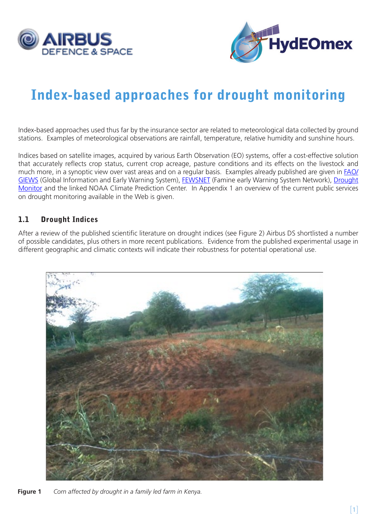



# Index-based approaches for drought monitoring

Index-based approaches used thus far by the insurance sector are related to meteorological data collected by ground stations. Examples of meteorological observations are rainfall, temperature, relative humidity and sunshine hours.

Indices based on satellite images, acquired by various Earth Observation (EO) systems, offer a cost-effective solution that accurately reflects crop status, current crop acreage, pasture conditions and its effects on the livestock and much more, in a synoptic view over vast areas and on a regular basis. Examples already published are given in [FAO/](http://www.fao.org/giews/english/index.htm) [GIEWS](http://www.fao.org/giews/english/index.htm) (Global Information and Early Warning System), [FEWSNET](http://www.fews.net/) (Famine early Warning System Network), [Drought](http://www.cpc.ncep.noaa.gov/products/Drought/)  [Monitor](http://www.cpc.ncep.noaa.gov/products/Drought/) and the linked NOAA Climate Prediction Center. In Appendix 1 an overview of the current public services on drought monitoring available in the Web is given.

#### 1.1 Drought Indices

After a review of the published scientific literature on drought indices (see Figure 2) Airbus DS shortlisted a number of possible candidates, plus others in more recent publications. Evidence from the published experimental usage in different geographic and climatic contexts will indicate their robustness for potential operational use.



**Figure 1** *Corn affected by drought in a family led farm in Kenya.*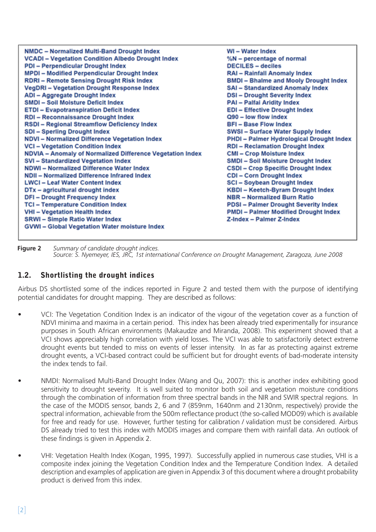| NMDC - Normalized Multi-Band Drought Index<br><b>VCADI - Vegetation Condition Albedo Drought Index</b><br><b>PDI - Perpendicular Drought Index</b><br><b>MPDI - Modified Perpendicular Drought Index</b><br><b>RDRI-Remote Sensing Drought Risk Index</b><br><b>VegDRI-Vegetation Drought Response Index</b><br><b>ADI</b> - Aggregate Drought Index<br><b>SMDI - Soil Moisture Deficit Index</b><br><b>ETDI - Evapotranspiration Deficit Index</b><br><b>RDI - Reconnaissance Drought Index</b><br><b>RSDI-Regional Streamflow Deficiency Index</b><br><b>SDI-Sperling Drought Index</b><br><b>NDVI - Normalized Difference Vegetation Index</b><br><b>VCI - Vegetation Condition Index</b><br><b>NDVIA - Anomaly of Normalized Difference Vegetation Index</b><br><b>SVI - Standardized Vegetation Index</b><br>NDWI-Normalized Difference Water Index<br>NDII - Normalized Difference Infrared Index<br><b>LWCI-Leaf Water Content Index</b><br>DTx - agricultural drought index<br><b>DFI-Drought Frequency Index</b><br><b>TCI - Temperature Condition Index</b> | <b>WI-Water Index</b><br>%N - percentage of normal<br><b>DECILES - deciles</b><br><b>RAI - Rainfall Anomaly Index</b><br><b>BMDI</b> - Bhalme and Mooly Drought Index<br><b>SAI - Standardized Anomaly Index</b><br><b>DSI-Drought Severity Index</b><br><b>PAI - Palfai Aridity Index</b><br><b>EDI-Effective Drought Index</b><br>Q90 - low flow index<br><b>BFI-Base Flow Index</b><br>SWSI - Surface Water Supply Index<br><b>PHDI - Palmer Hydrological Drought Index</b><br><b>RDI-Reclamation Drought Index</b><br><b>CMI-Crop Moisture Index</b><br><b>SMDI - Soil Moisture Drought Index</b><br><b>CSDI - Crop Specific Drought Index</b><br><b>CDI-Corn Drought Index</b><br><b>SCI - Soybean Drought Index</b><br><b>KBDI - Keetch-Byram Drought Index</b><br><b>NBR</b> - Normalized Burn Ratio<br><b>PDSI - Palmer Drought Severity Index</b> |
|-----------------------------------------------------------------------------------------------------------------------------------------------------------------------------------------------------------------------------------------------------------------------------------------------------------------------------------------------------------------------------------------------------------------------------------------------------------------------------------------------------------------------------------------------------------------------------------------------------------------------------------------------------------------------------------------------------------------------------------------------------------------------------------------------------------------------------------------------------------------------------------------------------------------------------------------------------------------------------------------------------------------------------------------------------------------------|------------------------------------------------------------------------------------------------------------------------------------------------------------------------------------------------------------------------------------------------------------------------------------------------------------------------------------------------------------------------------------------------------------------------------------------------------------------------------------------------------------------------------------------------------------------------------------------------------------------------------------------------------------------------------------------------------------------------------------------------------------------------------------------------------------------------------------------------------------|
|                                                                                                                                                                                                                                                                                                                                                                                                                                                                                                                                                                                                                                                                                                                                                                                                                                                                                                                                                                                                                                                                       |                                                                                                                                                                                                                                                                                                                                                                                                                                                                                                                                                                                                                                                                                                                                                                                                                                                            |
| <b>VHI - Vegetation Health Index</b>                                                                                                                                                                                                                                                                                                                                                                                                                                                                                                                                                                                                                                                                                                                                                                                                                                                                                                                                                                                                                                  | <b>PMDI</b> - Palmer Modified Drought Index                                                                                                                                                                                                                                                                                                                                                                                                                                                                                                                                                                                                                                                                                                                                                                                                                |
| <b>SRWI-Simple Ratio Water Index</b><br><b>GVWI-Global Vegetation Water moisture Index</b>                                                                                                                                                                                                                                                                                                                                                                                                                                                                                                                                                                                                                                                                                                                                                                                                                                                                                                                                                                            | Z-Index - Palmer Z-Index                                                                                                                                                                                                                                                                                                                                                                                                                                                                                                                                                                                                                                                                                                                                                                                                                                   |

**Figure 2** Summary of candidate drought indices.<br>Source: S. Nyemeyer, IES, JRC, 1st international Conference on Drought Management, Zaragoza, June 2008

#### 1.2. Shortlisting the drought indices

Airbus DS shortlisted some of the indices reported in Figure 2 and tested them with the purpose of identifying potential candidates for drought mapping. They are described as follows:

- VCI: The Vegetation Condition Index is an indicator of the vigour of the vegetation cover as a function of NDVI minima and maxima in a certain period. This index has been already tried experimentally for insurance purposes in South African environments (Makaudze and Miranda, 2008). This experiment showed that a VCI shows appreciably high correlation with yield losses. The VCI was able to satisfactorily detect extreme drought events but tended to miss on events of lesser intensity. In as far as protecting against extreme drought events, a VCI-based contract could be sufficient but for drought events of bad-moderate intensity the index tends to fail.
- NMDI: Normalised Multi-Band Drought Index (Wang and Qu, 2007): this is another index exhibiting good sensitivity to drought severity. It is well suited to monitor both soil and vegetation moisture conditions through the combination of information from three spectral bands in the NIR and SWIR spectral regions. In the case of the MODIS sensor, bands 2, 6 and 7 (859nm, 1640nm and 2130nm, respectively) provide the spectral information, achievable from the 500m reflectance product (the so-called MOD09) which is available for free and ready for use. However, further testing for calibration / validation must be considered. Airbus DS already tried to test this index with MODIS images and compare them with rainfall data. An outlook of these findings is given in Appendix 2.
- VHI: Vegetation Health Index (Kogan, 1995, 1997). Successfully applied in numerous case studies, VHI is a composite index joining the Vegetation Condition Index and the Temperature Condition Index. A detailed description and examples of application are given in Appendix 3 of this document where a drought probability product is derived from this index.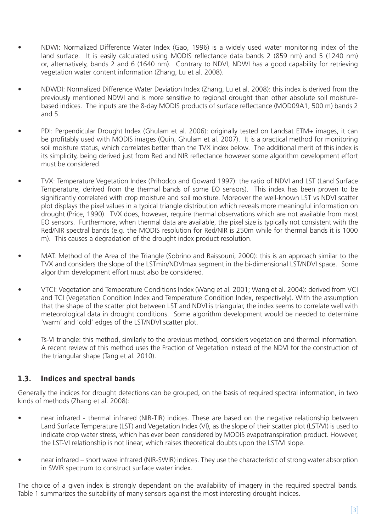- NDWI: Normalized Difference Water Index (Gao, 1996) is a widely used water monitoring index of the land surface. It is easily calculated using MODIS reflectance data bands 2 (859 nm) and 5 (1240 nm) or, alternatively, bands 2 and 6 (1640 nm). Contrary to NDVI, NDWI has a good capability for retrieving vegetation water content information (Zhang, Lu et al. 2008).
- NDWDI: Normalized Difference Water Deviation Index (Zhang, Lu et al. 2008): this index is derived from the previously mentioned NDWI and is more sensitive to regional drought than other absolute soil moisturebased indices. The inputs are the 8-day MODIS products of surface reflectance (MOD09A1, 500 m) bands 2 and 5.
- PDI: Perpendicular Drought Index (Ghulam et al. 2006): originally tested on Landsat ETM+ images, it can be profitably used with MODIS images (Quin, Ghulam et al. 2007). It is a practical method for monitoring soil moisture status, which correlates better than the TVX index below. The additional merit of this index is its simplicity, being derived just from Red and NIR reflectance however some algorithm development effort must be considered.
- TVX: Temperature Vegetation Index (Prihodco and Goward 1997): the ratio of NDVI and LST (Land Surface Temperature, derived from the thermal bands of some EO sensors). This index has been proven to be significantly correlated with crop moisture and soil moisture. Moreover the well-known LST vs NDVI scatter plot displays the pixel values in a typical triangle distribution which reveals more meaningful information on drought (Price, 1990). TVX does, however, require thermal observations which are not available from most EO sensors. Furthermore, when thermal data are available, the pixel size is typically not consistent with the Red/NIR spectral bands (e.g. the MODIS resolution for Red/NIR is 250m while for thermal bands it is 1000 m). This causes a degradation of the drought index product resolution.
- MAT: Method of the Area of the Triangle (Sobrino and Raissouni, 2000): this is an approach similar to the TVX and considers the slope of the LSTmin/NDVImax segment in the bi-dimensional LST/NDVI space. Some algorithm development effort must also be considered.
- VTCI: Vegetation and Temperature Conditions Index (Wang et al. 2001; Wang et al. 2004): derived from VCI and TCI (Vegetation Condition Index and Temperature Condition Index, respectively). With the assumption that the shape of the scatter plot between LST and NDVI is triangular, the index seems to correlate well with meteorological data in drought conditions. Some algorithm development would be needed to determine 'warm' and 'cold' edges of the LST/NDVI scatter plot.
- Ts-VI triangle: this method, similarly to the previous method, considers vegetation and thermal information. A recent review of this method uses the Fraction of Vegetation instead of the NDVI for the construction of the triangular shape (Tang et al. 2010).

### 1.3. Indices and spectral bands

Generally the indices for drought detections can be grouped, on the basis of required spectral information, in two kinds of methods (Zhang et al. 2008):

- near infrared thermal infrared (NIR-TIR) indices. These are based on the negative relationship between Land Surface Temperature (LST) and Vegetation Index (VI), as the slope of their scatter plot (LST/VI) is used to indicate crop water stress, which has ever been considered by MODIS evapotranspiration product. However, the LST-VI relationship is not linear, which raises theoretical doubts upon the LST/VI slope.
- near infrared short wave infrared (NIR-SWIR) indices. They use the characteristic of strong water absorption in SWIR spectrum to construct surface water index.

The choice of a given index is strongly dependant on the availability of imagery in the required spectral bands. Table 1 summarizes the suitability of many sensors against the most interesting drought indices.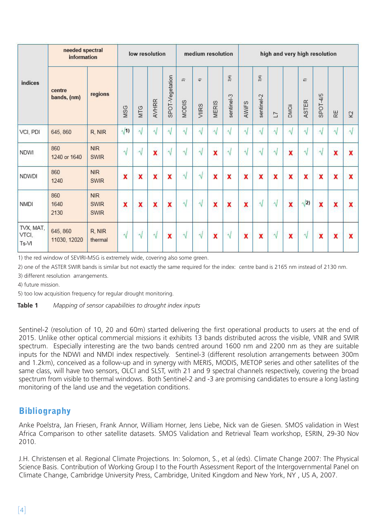| indices                     | needed spectral<br>information |                                          | low resolution          |                         |           | medium resolution       |            |                                 |                         | high and very high resolution        |                         |                             |                |                         |            |                           |                         |           |
|-----------------------------|--------------------------------|------------------------------------------|-------------------------|-------------------------|-----------|-------------------------|------------|---------------------------------|-------------------------|--------------------------------------|-------------------------|-----------------------------|----------------|-------------------------|------------|---------------------------|-------------------------|-----------|
|                             | centre<br>bands, (nm)          | regions                                  | MSG                     | MTG                     | AVHRR     | SPOT-Vegetation         | 苏<br>MODIS | $\widehat{\mathbf{F}}$<br>VIIRS | <b>MERIS</b>            | $\widehat{\mathbb{F}}$<br>sentinel-3 | AWIFS                   | $\frac{1}{2}$<br>sentinel-2 | $\overline{1}$ | <b>DMCii</b>            | 运<br>ASTER | SPOT-4/5                  | RΕ                      | K)        |
| VCI, PDI                    | 645, 860                       | R, NIR                                   | $\sqrt{1}$              | ٨l                      | $\sqrt{}$ | $\sqrt{ }$              | $\sqrt{ }$ | $\sqrt{}$                       | A.                      | N                                    | $\sqrt{}$               | N                           | V              | $\sqrt{2}$              | V          | N                         | $\sqrt{ }$              | $\sqrt{}$ |
| <b>NDWI</b>                 | 860<br>1240 or 1640            | <b>NIR</b><br><b>SWIR</b>                | V                       | 1J                      | X         | $\sqrt{ }$              | V          | V                               | X                       | 1J                                   | $\sqrt{}$               | N                           | $\sqrt{ }$     | $\overline{\mathbf{x}}$ | $\sqrt{}$  | $\sqrt{}$                 | x                       | x         |
| <b>NDWDI</b>                | 860<br>1240                    | <b>NIR</b><br><b>SWIR</b>                | $\boldsymbol{x}$        | x                       | X         | X                       | $\sqrt{}$  | V                               | $\mathbf x$             | $\boldsymbol{x}$                     | X                       | $\mathbf x$                 | $\mathbf x$    | x                       | x          | $\boldsymbol{\mathsf{x}}$ | x                       | x         |
| <b>NMDI</b>                 | 860<br>1640<br>2130            | <b>NIR</b><br><b>SWIR</b><br><b>SWIR</b> | $\overline{\mathbf{x}}$ | $\overline{\mathbf{x}}$ | x         | $\overline{\mathbf{x}}$ | $\sqrt{ }$ | $\sqrt{}$                       | $\overline{\mathbf{x}}$ | $\overline{\mathbf{x}}$              | $\overline{\mathbf{x}}$ | $\sqrt{ }$                  | $\sqrt{}$      | $\overline{\mathbf{x}}$ | $\sqrt{2}$ | $\overline{\mathbf{x}}$   | $\overline{\mathbf{x}}$ | x.        |
| TVX, MAT,<br>VTCI,<br>Ts-VI | 645, 860<br>11030, 12020       | R, NIR<br>thermal                        | $\sqrt{}$               | V                       | $\sqrt{}$ | $\mathbf x$             | $\sqrt{}$  | $\sqrt{}$                       | $\mathbf x$             | $\sqrt{}$                            | X                       | $\mathbf x$                 | $\sqrt{ }$     | x                       | $\sqrt{}$  | $\overline{\mathbf{x}}$   | $\mathbf x$             | x         |

1) the red window of SEVIRI-MSG is extremely wide, covering also some green.

2) one of the ASTER SWIR bands is similar but not exactly the same required for the index: centre band is 2165 nm instead of 2130 nm.

3) different resolution arrangements.

4) future mission.

5) too low acquisition frequency for regular drought monitoring.

**Table 1** *Mapping of sensor capabilities to drought index inputs*

Sentinel-2 (resolution of 10, 20 and 60m) started delivering the first operational products to users at the end of 2015. Unlike other optical commercial missions it exhibits 13 bands distributed across the visible, VNIR and SWIR spectrum. Especially interesting are the two bands centred around 1600 nm and 2200 nm as they are suitable inputs for the NDWI and NMDI index respectively. Sentinel-3 (different resolution arrangements between 300m and 1.2km), conceived as a follow-up and in synergy with MERIS, MODIS, METOP series and other satellites of the same class, will have two sensors, OLCI and SLST, with 21 and 9 spectral channels respectively, covering the broad spectrum from visible to thermal windows. Both Sentinel-2 and -3 are promising candidates to ensure a long lasting monitoring of the land use and the vegetation conditions.

## **Bibliography**

Anke Poelstra, Jan Friesen, Frank Annor, William Horner, Jens Liebe, Nick van de Giesen. SMOS validation in West Africa Comparison to other satellite datasets. SMOS Validation and Retrieval Team workshop, ESRIN, 29-30 Nov 2010.

J.H. Christensen et al. Regional Climate Projections. In: Solomon, S., et al (eds). Climate Change 2007: The Physical Science Basis. Contribution of Working Group I to the Fourth Assessment Report of the Intergovernmental Panel on Climate Change, Cambridge University Press, Cambridge, United Kingdom and New York, NY , US A, 2007.